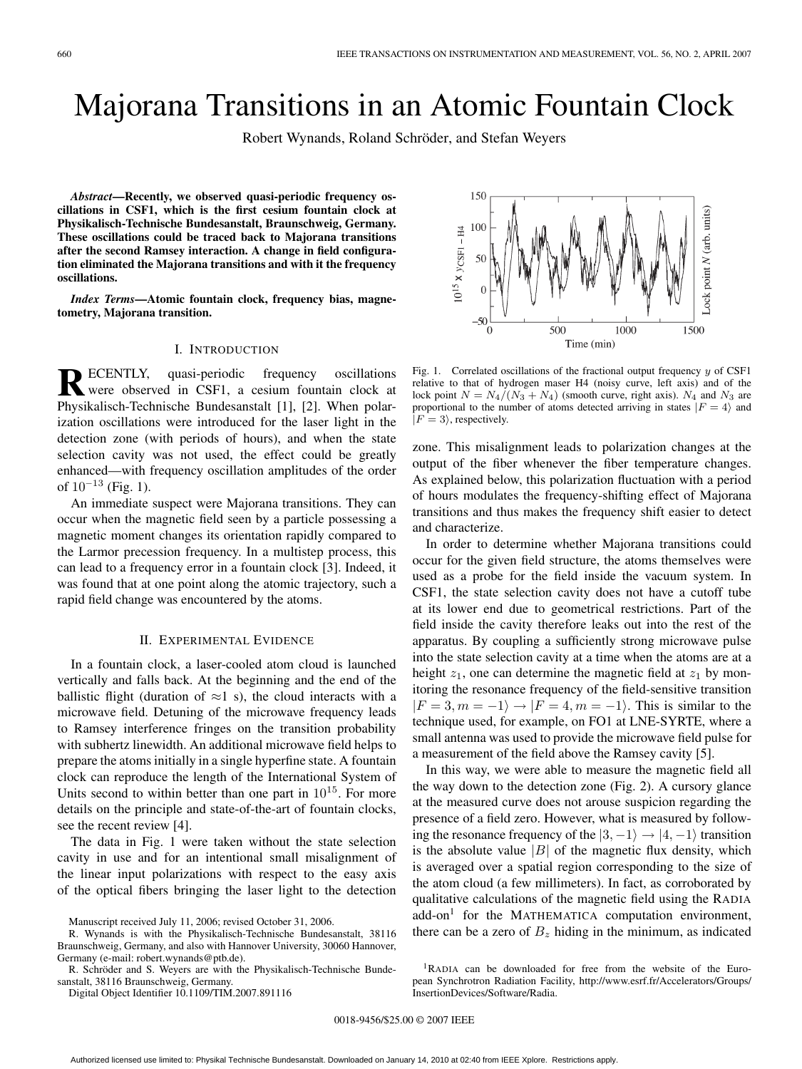# Majorana Transitions in an Atomic Fountain Clock

Robert Wynands, Roland Schröder, and Stefan Weyers

*Abstract***—Recently, we observed quasi-periodic frequency oscillations in CSF1, which is the first cesium fountain clock at Physikalisch-Technische Bundesanstalt, Braunschweig, Germany. These oscillations could be traced back to Majorana transitions after the second Ramsey interaction. A change in field configuration eliminated the Majorana transitions and with it the frequency oscillations.**

*Index Terms***—Atomic fountain clock, frequency bias, magnetometry, Majorana transition.**

## I. INTRODUCTION

**RECENTLY,** quasi-periodic frequency oscillations<br>were observed in CSF1, a cesium fountain clock at Physikalisch-Technische Bundesanstalt [1], [2]. When polarization oscillations were introduced for the laser light in the detection zone (with periods of hours), and when the state selection cavity was not used, the effect could be greatly enhanced—with frequency oscillation amplitudes of the order of  $10^{-13}$  (Fig. 1).

An immediate suspect were Majorana transitions. They can occur when the magnetic field seen by a particle possessing a magnetic moment changes its orientation rapidly compared to the Larmor precession frequency. In a multistep process, this can lead to a frequency error in a fountain clock [3]. Indeed, it was found that at one point along the atomic trajectory, such a rapid field change was encountered by the atoms.

## II. EXPERIMENTAL EVIDENCE

In a fountain clock, a laser-cooled atom cloud is launched vertically and falls back. At the beginning and the end of the ballistic flight (duration of  $\approx$ 1 s), the cloud interacts with a microwave field. Detuning of the microwave frequency leads to Ramsey interference fringes on the transition probability with subhertz linewidth. An additional microwave field helps to prepare the atoms initially in a single hyperfine state. A fountain clock can reproduce the length of the International System of Units second to within better than one part in  $10^{15}$ . For more details on the principle and state-of-the-art of fountain clocks, see the recent review [4].

The data in Fig. 1 were taken without the state selection cavity in use and for an intentional small misalignment of the linear input polarizations with respect to the easy axis of the optical fibers bringing the laser light to the detection

R. Schröder and S. Weyers are with the Physikalisch-Technische Bundesanstalt, 38116 Braunschweig, Germany.

Digital Object Identifier 10.1109/TIM.2007.891116

150 Lock point  $N$  (arb. units)  $10^{15}$  X  $y_{\text{CSF1}} - H4$ 100 50  $\sqrt{ }$ 500 1000 1500 Time (min)

Fig. 1. Correlated oscillations of the fractional output frequency *y* of CSF1 relative to that of hydrogen maser H4 (noisy curve, left axis) and of the lock point  $N = N_4/(N_3 + N_4)$  (smooth curve, right axis).  $N_4$  and  $N_3$  are proportional to the number of atoms detected arriving in states  $|F = 4\rangle$  and  $|F = 3\rangle$ , respectively.

zone. This misalignment leads to polarization changes at the output of the fiber whenever the fiber temperature changes. As explained below, this polarization fluctuation with a period of hours modulates the frequency-shifting effect of Majorana transitions and thus makes the frequency shift easier to detect and characterize.

In order to determine whether Majorana transitions could occur for the given field structure, the atoms themselves were used as a probe for the field inside the vacuum system. In CSF1, the state selection cavity does not have a cutoff tube at its lower end due to geometrical restrictions. Part of the field inside the cavity therefore leaks out into the rest of the apparatus. By coupling a sufficiently strong microwave pulse into the state selection cavity at a time when the atoms are at a height  $z_1$ , one can determine the magnetic field at  $z_1$  by monitoring the resonance frequency of the field-sensitive transition  $|F = 3, m = -1\rangle \rightarrow |F = 4, m = -1\rangle$ . This is similar to the technique used, for example, on FO1 at LNE-SYRTE, where a small antenna was used to provide the microwave field pulse for a measurement of the field above the Ramsey cavity [5].

In this way, we were able to measure the magnetic field all the way down to the detection zone (Fig. 2). A cursory glance at the measured curve does not arouse suspicion regarding the presence of a field zero. However, what is measured by following the resonance frequency of the  $|3, -1\rangle \rightarrow |4, -1\rangle$  transition is the absolute value  $|B|$  of the magnetic flux density, which is averaged over a spatial region corresponding to the size of the atom cloud (a few millimeters). In fact, as corroborated by qualitative calculations of the magnetic field using the RADIA  $add-on<sup>1</sup>$  for the MATHEMATICA computation environment, there can be a zero of  $B<sub>z</sub>$  hiding in the minimum, as indicated

1RADIA can be downloaded for free from the website of the European Synchrotron Radiation Facility, http://www.esrf.fr/Accelerators/Groups/ InsertionDevices/Software/Radia.

Manuscript received July 11, 2006; revised October 31, 2006.

R. Wynands is with the Physikalisch-Technische Bundesanstalt, 38116 Braunschweig, Germany, and also with Hannover University, 30060 Hannover, Germany (e-mail: robert.wynands@ptb.de).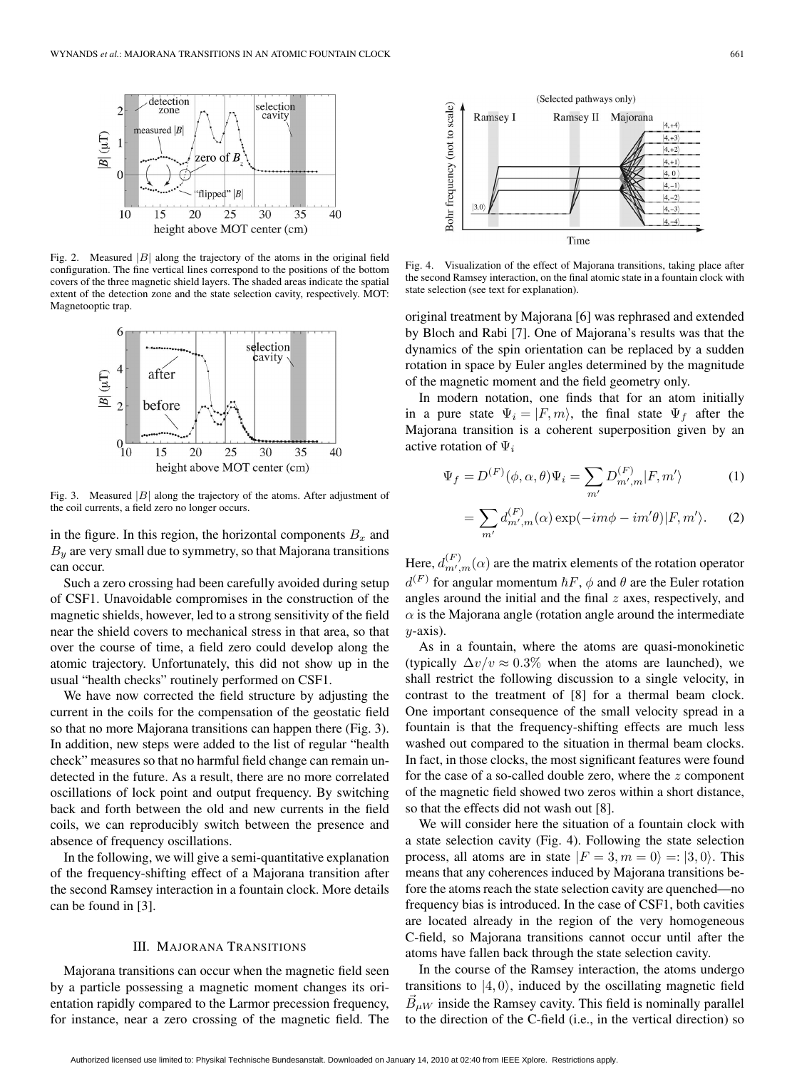

Fig. 2. Measured |*B*| along the trajectory of the atoms in the original field configuration. The fine vertical lines correspond to the positions of the bottom covers of the three magnetic shield layers. The shaded areas indicate the spatial extent of the detection zone and the state selection cavity, respectively. MOT: Magnetooptic trap.



Fig. 3. Measured |*B*| along the trajectory of the atoms. After adjustment of the coil currents, a field zero no longer occurs.

in the figure. In this region, the horizontal components  $B_x$  and  $B_y$  are very small due to symmetry, so that Majorana transitions can occur.

Such a zero crossing had been carefully avoided during setup of CSF1. Unavoidable compromises in the construction of the magnetic shields, however, led to a strong sensitivity of the field near the shield covers to mechanical stress in that area, so that over the course of time, a field zero could develop along the atomic trajectory. Unfortunately, this did not show up in the usual "health checks" routinely performed on CSF1.

We have now corrected the field structure by adjusting the current in the coils for the compensation of the geostatic field so that no more Majorana transitions can happen there (Fig. 3). In addition, new steps were added to the list of regular "health check" measures so that no harmful field change can remain undetected in the future. As a result, there are no more correlated oscillations of lock point and output frequency. By switching back and forth between the old and new currents in the field coils, we can reproducibly switch between the presence and absence of frequency oscillations.

In the following, we will give a semi-quantitative explanation of the frequency-shifting effect of a Majorana transition after the second Ramsey interaction in a fountain clock. More details can be found in [3].

### III. MAJORANA TRANSITIONS

Majorana transitions can occur when the magnetic field seen by a particle possessing a magnetic moment changes its orientation rapidly compared to the Larmor precession frequency, for instance, near a zero crossing of the magnetic field. The



Fig. 4. Visualization of the effect of Majorana transitions, taking place after the second Ramsey interaction, on the final atomic state in a fountain clock with state selection (see text for explanation).

original treatment by Majorana [6] was rephrased and extended by Bloch and Rabi [7]. One of Majorana's results was that the dynamics of the spin orientation can be replaced by a sudden rotation in space by Euler angles determined by the magnitude of the magnetic moment and the field geometry only.

In modern notation, one finds that for an atom initially in a pure state  $\Psi_i = |F,m\rangle$ , the final state  $\Psi_f$  after the Majorana transition is a coherent superposition given by an active rotation of Ψ*<sup>i</sup>*

$$
\Psi_f = D^{(F)}(\phi, \alpha, \theta)\Psi_i = \sum_{m'} D^{(F)}_{m',m} |F, m'\rangle \tag{1}
$$

$$
= \sum_{m'} d_{m',m}^{(F)}(\alpha) \exp(-im\phi - im'\theta)|F,m'\rangle.
$$
 (2)

Here,  $d_{m',m}^{(F)}(\alpha)$  are the matrix elements of the rotation operator  $d^{(F)}$  for angular momentum  $\hbar F$ ,  $\phi$  and  $\theta$  are the Euler rotation angles around the initial and the final  $z$  axes, respectively, and  $\alpha$  is the Majorana angle (rotation angle around the intermediate  $y$ -axis).

As in a fountain, where the atoms are quasi-monokinetic (typically  $\Delta v/v \approx 0.3\%$  when the atoms are launched), we shall restrict the following discussion to a single velocity, in contrast to the treatment of [8] for a thermal beam clock. One important consequence of the small velocity spread in a fountain is that the frequency-shifting effects are much less washed out compared to the situation in thermal beam clocks. In fact, in those clocks, the most significant features were found for the case of a so-called double zero, where the z component of the magnetic field showed two zeros within a short distance, so that the effects did not wash out [8].

We will consider here the situation of a fountain clock with a state selection cavity (Fig. 4). Following the state selection process, all atoms are in state  $|F = 3, m = 0\rangle = |3, 0\rangle$ . This means that any coherences induced by Majorana transitions before the atoms reach the state selection cavity are quenched—no frequency bias is introduced. In the case of CSF1, both cavities are located already in the region of the very homogeneous C-field, so Majorana transitions cannot occur until after the atoms have fallen back through the state selection cavity.

In the course of the Ramsey interaction, the atoms undergo transitions to  $|4, 0\rangle$ , induced by the oscillating magnetic field  $\vec{B}_{\mu W}$  inside the Ramsey cavity. This field is nominally parallel to the direction of the C-field (i.e., in the vertical direction) so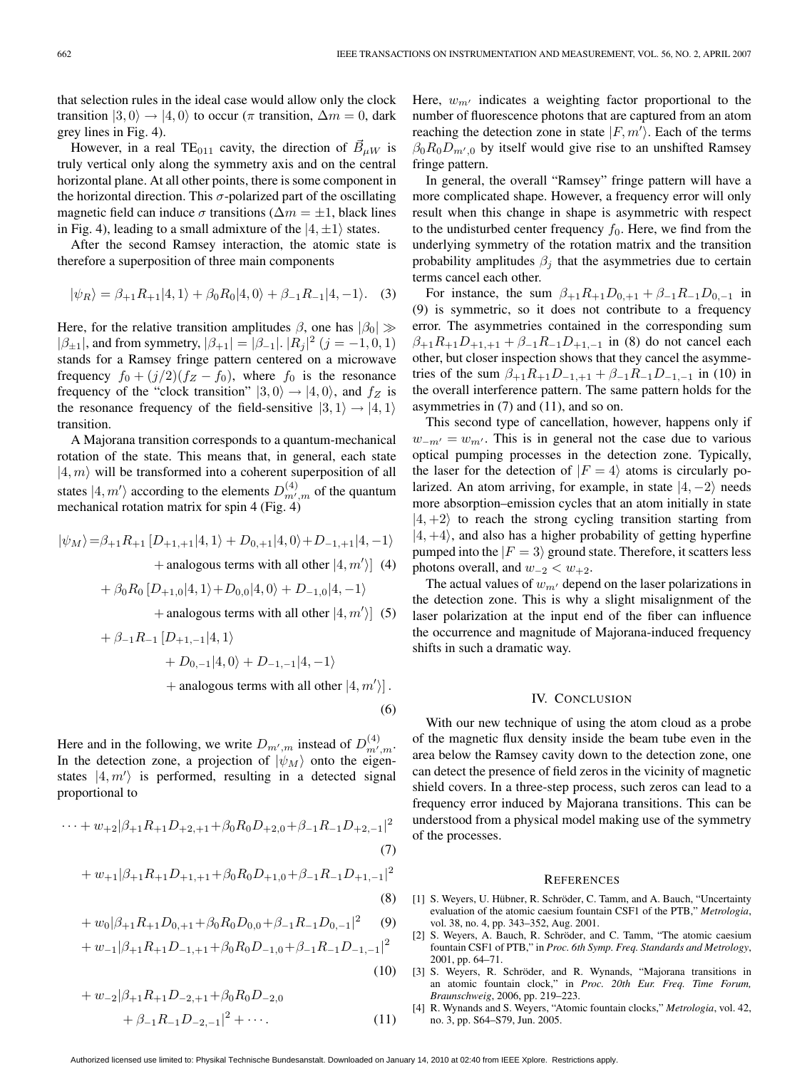that selection rules in the ideal case would allow only the clock transition  $|3, 0\rangle \rightarrow |4, 0\rangle$  to occur ( $\pi$  transition,  $\Delta m = 0$ , dark grey lines in Fig. 4).

However, in a real TE<sub>011</sub> cavity, the direction of  $\vec{B}_{\mu W}$  is truly vertical only along the symmetry axis and on the central horizontal plane. At all other points, there is some component in the horizontal direction. This  $\sigma$ -polarized part of the oscillating magnetic field can induce  $\sigma$  transitions ( $\Delta m = \pm 1$ , black lines in Fig. 4), leading to a small admixture of the  $|4, \pm 1\rangle$  states.

After the second Ramsey interaction, the atomic state is therefore a superposition of three main components

$$
|\psi_R\rangle = \beta_{+1}R_{+1}|4,1\rangle + \beta_0 R_0|4,0\rangle + \beta_{-1}R_{-1}|4,-1\rangle.
$$
 (3)

Here, for the relative transition amplitudes  $\beta$ , one has  $|\beta_0| \gg$  $|\beta_{\pm 1}|$ , and from symmetry,  $|\beta_{+1}| = |\beta_{-1}|$ .  $|R_j|^2$   $(j = -1, 0, 1)$ stands for a Ramsey fringe pattern centered on a microwave frequency  $f_0 + (j/2)(f_Z - f_0)$ , where  $f_0$  is the resonance frequency of the "clock transition"  $|3,0\rangle \rightarrow |4,0\rangle$ , and  $f_Z$  is the resonance frequency of the field-sensitive  $|3, 1\rangle \rightarrow |4, 1\rangle$ transition.

A Majorana transition corresponds to a quantum-mechanical rotation of the state. This means that, in general, each state  $|4, m\rangle$  will be transformed into a coherent superposition of all states  $|4, m'\rangle$  according to the elements  $D_{m',m}^{(4)}$  of the quantum mechanical rotation matrix for spin 4 (Fig. 4)

$$
|\psi_M\rangle = \beta_{+1} R_{+1} [D_{+1,+1}|4,1\rangle + D_{0,+1}|4,0\rangle + D_{-1,+1}|4,-1\rangle
$$
  
+ analogous terms with all other  $|4, m'\rangle$  (4)  
+  $\beta_0 R_0 [D_{+1,0}|4,1\rangle + D_{0,0}|4,0\rangle + D_{-1,0}|4,-1\rangle$   
+ analogous terms with all other  $|4, m'\rangle$  (5)

+ 
$$
\beta_{-1}R_{-1}
$$
 [ $D_{+1,-1}$ |4, 1)  
+  $D_{0,-1}$ |4, 0⟩ +  $D_{-1,-1}$ |4, -1)  
+ analogous terms with all other |4, m']. (6)

Here and in the following, we write  $D_{m',m}$  instead of  $D_{m',m}^{(4)}$ . In the detection zone, a projection of  $|\psi_M\rangle$  onto the eigenstates  $|4, m'\rangle$  is performed, resulting in a detected signal

$$
\cdots + w_{+2}|\beta_{+1}R_{+1}D_{+2,+1} + \beta_0 R_0 D_{+2,0} + \beta_{-1} R_{-1} D_{+2,-1}|^2
$$
\n(7)

proportional to

+ 
$$
w_{+1}|\beta_{+1}R_{+1}D_{+1,+1} + \beta_0 R_0 D_{+1,0} + \beta_{-1} R_{-1} D_{+1,-1}|^2
$$
 (8)

+ 
$$
w_0 |\beta_{+1} R_{+1} D_{0,+1} + \beta_0 R_0 D_{0,0} + \beta_{-1} R_{-1} D_{0,-1}|^2
$$
 (9)

+ 
$$
w_{-1}|\beta_{+1}R_{+1}D_{-1,+1}+\beta_0R_0D_{-1,0}+\beta_{-1}R_{-1}D_{-1,-1}|^2
$$

+ 
$$
w_{-2}|\beta_{+1}R_{+1}D_{-2,+1} + \beta_0R_0D_{-2,0}
$$
  
+  $\beta_{-1}R_{-1}D_{-2,-1}|^2 + \cdots$  (11)

Here,  $w_{m'}$  indicates a weighting factor proportional to the number of fluorescence photons that are captured from an atom reaching the detection zone in state  $|F, m'\rangle$ . Each of the terms  $\beta_0 R_0 D_{m',0}$  by itself would give rise to an unshifted Ramsey fringe pattern.

In general, the overall "Ramsey" fringe pattern will have a more complicated shape. However, a frequency error will only result when this change in shape is asymmetric with respect to the undisturbed center frequency  $f_0$ . Here, we find from the underlying symmetry of the rotation matrix and the transition probability amplitudes  $\beta_j$  that the asymmetries due to certain terms cancel each other.

For instance, the sum  $\beta_{+1}R_{+1}D_{0,+1} + \beta_{-1}R_{-1}D_{0,-1}$  in (9) is symmetric, so it does not contribute to a frequency error. The asymmetries contained in the corresponding sum  $\beta_{+1}R_{+1}D_{+1,+1} + \beta_{-1}R_{-1}D_{+1,-1}$  in (8) do not cancel each other, but closer inspection shows that they cancel the asymmetries of the sum  $\beta_{+1}R_{+1}D_{-1,+1} + \beta_{-1}R_{-1}D_{-1,-1}$  in (10) in the overall interference pattern. The same pattern holds for the asymmetries in (7) and (11), and so on.

This second type of cancellation, however, happens only if  $w_{-m'} = w_{m'}$ . This is in general not the case due to various optical pumping processes in the detection zone. Typically, the laser for the detection of  $|F = 4\rangle$  atoms is circularly polarized. An atom arriving, for example, in state  $|4, -2\rangle$  needs more absorption–emission cycles that an atom initially in state  $|4, +2\rangle$  to reach the strong cycling transition starting from  $|4, +4\rangle$ , and also has a higher probability of getting hyperfine pumped into the  $|F = 3\rangle$  ground state. Therefore, it scatters less photons overall, and  $w_{-2} < w_{+2}$ .

The actual values of  $w_{m'}$  depend on the laser polarizations in the detection zone. This is why a slight misalignment of the laser polarization at the input end of the fiber can influence the occurrence and magnitude of Majorana-induced frequency shifts in such a dramatic way.

## IV. CONCLUSION

With our new technique of using the atom cloud as a probe of the magnetic flux density inside the beam tube even in the area below the Ramsey cavity down to the detection zone, one can detect the presence of field zeros in the vicinity of magnetic shield covers. In a three-step process, such zeros can lead to a frequency error induced by Majorana transitions. This can be understood from a physical model making use of the symmetry of the processes.

#### **REFERENCES**

- [1] S. Weyers, U. Hübner, R. Schröder, C. Tamm, and A. Bauch, "Uncertainty evaluation of the atomic caesium fountain CSF1 of the PTB," *Metrologia*, vol. 38, no. 4, pp. 343–352, Aug. 2001.
- [2] S. Weyers, A. Bauch, R. Schröder, and C. Tamm, "The atomic caesium fountain CSF1 of PTB," in *Proc. 6th Symp. Freq. Standards and Metrology*, 2001, pp. 64–71.
- [3] S. Weyers, R. Schröder, and R. Wynands, "Majorana transitions in an atomic fountain clock," in *Proc. 20th Eur. Freq. Time Forum, Braunschweig*, 2006, pp. 219–223.
- [4] R. Wynands and S. Weyers, "Atomic fountain clocks," *Metrologia*, vol. 42, no. 3, pp. S64–S79, Jun. 2005.

(10)